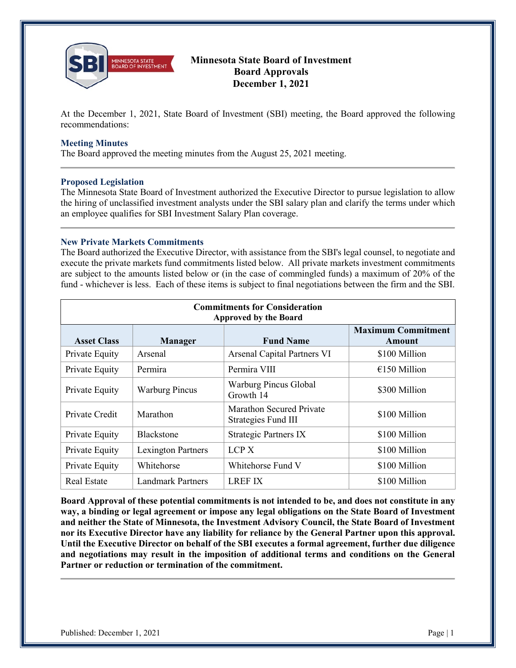

# **Minnesota State Board of Investment Board Approvals December 1, 2021**

At the December 1, 2021, State Board of Investment (SBI) meeting, the Board approved the following recommendations:

### **Meeting Minutes**

The Board approved the meeting minutes from the August 25, 2021 meeting.

## **Proposed Legislation**

The Minnesota State Board of Investment authorized the Executive Director to pursue legislation to allow the hiring of unclassified investment analysts under the SBI salary plan and clarify the terms under which an employee qualifies for SBI Investment Salary Plan coverage.

# **New Private Markets Commitments**

The Board authorized the Executive Director, with assistance from the SBI's legal counsel, to negotiate and execute the private markets fund commitments listed below. All private markets investment commitments are subject to the amounts listed below or (in the case of commingled funds) a maximum of 20% of the fund - whichever is less. Each of these items is subject to final negotiations between the firm and the SBI.

| <b>Commitments for Consideration</b><br><b>Approved by the Board</b> |                          |                                                 |                                     |
|----------------------------------------------------------------------|--------------------------|-------------------------------------------------|-------------------------------------|
| <b>Asset Class</b>                                                   | <b>Manager</b>           | <b>Fund Name</b>                                | <b>Maximum Commitment</b><br>Amount |
| Private Equity                                                       | Arsenal                  | <b>Arsenal Capital Partners VI</b>              | \$100 Million                       |
| Private Equity                                                       | Permira                  | Permira VIII                                    | $£150$ Million                      |
| Private Equity                                                       | <b>Warburg Pincus</b>    | Warburg Pincus Global<br>Growth 14              | \$300 Million                       |
| Private Credit                                                       | Marathon                 | Marathon Secured Private<br>Strategies Fund III | \$100 Million                       |
| Private Equity                                                       | <b>Blackstone</b>        | Strategic Partners IX                           | \$100 Million                       |
| Private Equity                                                       | Lexington Partners       | LCP <sub>X</sub>                                | \$100 Million                       |
| Private Equity                                                       | Whitehorse               | Whitehorse Fund V                               | \$100 Million                       |
| <b>Real Estate</b>                                                   | <b>Landmark Partners</b> | <b>LREF IX</b>                                  | \$100 Million                       |

**Board Approval of these potential commitments is not intended to be, and does not constitute in any way, a binding or legal agreement or impose any legal obligations on the State Board of Investment and neither the State of Minnesota, the Investment Advisory Council, the State Board of Investment nor its Executive Director have any liability for reliance by the General Partner upon this approval. Until the Executive Director on behalf of the SBI executes a formal agreement, further due diligence and negotiations may result in the imposition of additional terms and conditions on the General Partner or reduction or termination of the commitment.**